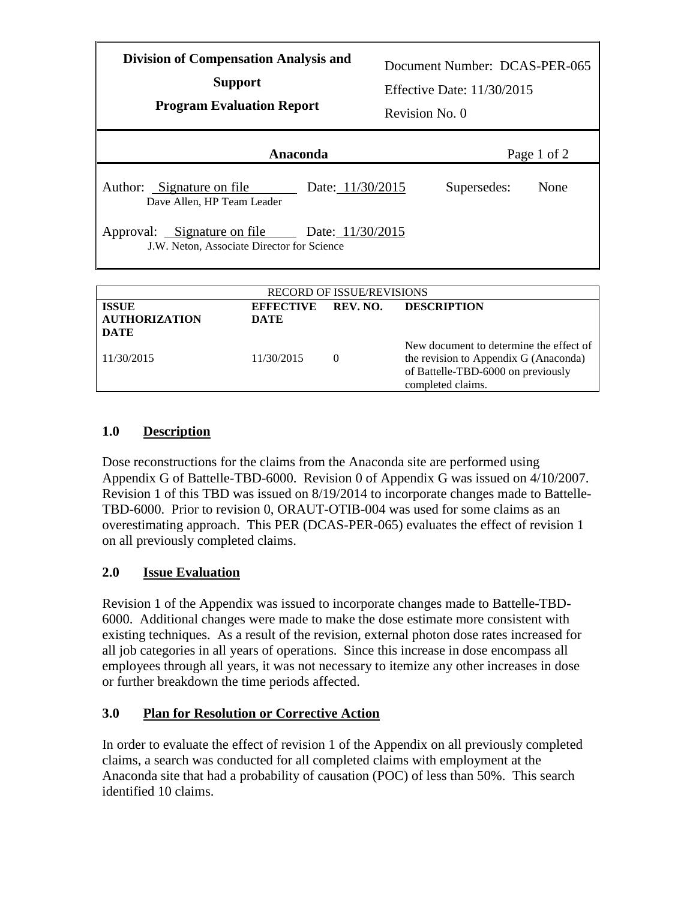| <b>Division of Compensation Analysis and</b><br><b>Support</b><br><b>Program Evaluation Report</b> |                                 |                                       | Document Number: DCAS-PER-065<br>Effective Date: $11/30/2015$<br>Revision No. 0 |             |  |  |  |
|----------------------------------------------------------------------------------------------------|---------------------------------|---------------------------------------|---------------------------------------------------------------------------------|-------------|--|--|--|
| Anaconda                                                                                           |                                 |                                       |                                                                                 | Page 1 of 2 |  |  |  |
| Author: Signature on file<br>Dave Allen, HP Team Leader                                            |                                 | Date: 11/30/2015                      | Supersedes:                                                                     | None        |  |  |  |
| Approval: Signature on file Date: 11/30/2015<br>J.W. Neton, Associate Director for Science         |                                 |                                       |                                                                                 |             |  |  |  |
|                                                                                                    |                                 |                                       |                                                                                 |             |  |  |  |
| <b>ISSUE</b><br><b>AUTHORIZATION</b><br>DATE                                                       | <b>EFFECTIVE</b><br><b>DATE</b> | RECORD OF ISSUE/REVISIONS<br>REV. NO. | <b>DESCRIPTION</b>                                                              |             |  |  |  |
|                                                                                                    |                                 |                                       | New document to determine the effect of                                         |             |  |  |  |

## **1.0 Description**

Dose reconstructions for the claims from the Anaconda site are performed using Appendix G of Battelle-TBD-6000. Revision 0 of Appendix G was issued on 4/10/2007. Revision 1 of this TBD was issued on 8/19/2014 to incorporate changes made to Battelle-TBD-6000. Prior to revision 0, ORAUT-OTIB-004 was used for some claims as an overestimating approach. This PER (DCAS-PER-065) evaluates the effect of revision 1 on all previously completed claims.

11/30/2015 11/30/2015 0 the revision to Appendix G (Anaconda)

of Battelle-TBD-6000 on previously

completed claims.

## **2.0 Issue Evaluation**

Revision 1 of the Appendix was issued to incorporate changes made to Battelle-TBD-6000. Additional changes were made to make the dose estimate more consistent with existing techniques. As a result of the revision, external photon dose rates increased for all job categories in all years of operations. Since this increase in dose encompass all employees through all years, it was not necessary to itemize any other increases in dose or further breakdown the time periods affected.

## **3.0 Plan for Resolution or Corrective Action**

In order to evaluate the effect of revision 1 of the Appendix on all previously completed claims, a search was conducted for all completed claims with employment at the Anaconda site that had a probability of causation (POC) of less than 50%. This search identified 10 claims.